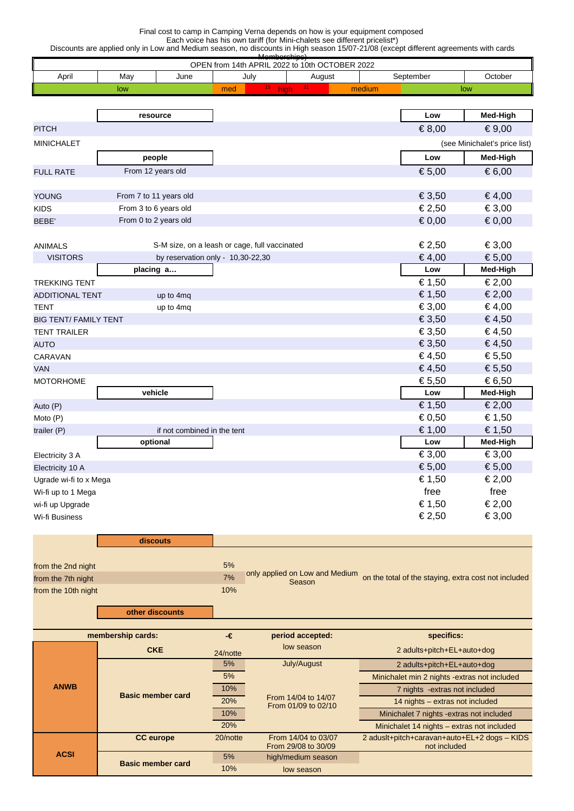## Final cost to camp in Camping Verna depends on how is your equipment composed Each voice has his own tariff (for Mini-chalets see different pricelist\*)

Discounts are applied only in Low and Medium season, no discounts in High season 15/07-21/08 (except different agreements with cards

|                              |                        |                                     | OPEN from 14th APRIL 2022 to 10th OCTOBER 2022 |        |                                                      |                               |
|------------------------------|------------------------|-------------------------------------|------------------------------------------------|--------|------------------------------------------------------|-------------------------------|
| April                        | June<br>May            |                                     | July<br>August                                 |        | September                                            | October                       |
|                              | low                    | med                                 | $15$ high $21$                                 | medium |                                                      | low                           |
|                              |                        |                                     |                                                |        |                                                      |                               |
|                              | resource               |                                     |                                                |        | Low                                                  | Med-High                      |
| <b>PITCH</b>                 |                        |                                     |                                                |        | € 8,00                                               | € 9,00                        |
| <b>MINICHALET</b>            |                        |                                     |                                                |        |                                                      | (see Minichalet's price list) |
|                              | people                 |                                     |                                                |        | Low                                                  | Med-High                      |
| <b>FULL RATE</b>             | From 12 years old      |                                     |                                                |        | € 5,00                                               | € 6,00                        |
|                              |                        |                                     |                                                |        |                                                      |                               |
| <b>YOUNG</b>                 | From 7 to 11 years old |                                     |                                                |        | € 3,50                                               | €4,00                         |
| <b>KIDS</b>                  | From 3 to 6 years old  |                                     |                                                |        | € 2,50                                               | € 3,00                        |
| BEBE'                        | From 0 to 2 years old  |                                     |                                                |        | € 0,00                                               | € 0,00                        |
|                              |                        |                                     |                                                |        |                                                      |                               |
| <b>ANIMALS</b>               |                        |                                     | S-M size, on a leash or cage, full vaccinated  |        | € 2,50                                               | € 3,00                        |
| <b>VISITORS</b>              |                        | by reservation only - $10,30-22,30$ |                                                |        | €4,00                                                | € 5,00                        |
|                              | placing a              |                                     |                                                |        | Low                                                  | Med-High                      |
| <b>TREKKING TENT</b>         |                        |                                     |                                                |        | € 1,50                                               | € 2,00                        |
| <b>ADDITIONAL TENT</b>       | up to 4mq              |                                     |                                                |        | € 1,50                                               | € 2,00                        |
| <b>TENT</b>                  | up to 4mq              |                                     |                                                |        | € 3,00                                               | € 4,00                        |
| <b>BIG TENT/ FAMILY TENT</b> |                        |                                     |                                                |        | € 3,50                                               | €4,50                         |
| <b>TENT TRAILER</b>          |                        |                                     |                                                |        | € 3,50                                               | €4,50                         |
| <b>AUTO</b>                  |                        |                                     |                                                |        | € 3,50                                               | €4,50                         |
| CARAVAN                      |                        |                                     |                                                |        | €4,50                                                | € 5,50                        |
| <b>VAN</b>                   |                        |                                     |                                                |        | €4,50                                                | € 5,50                        |
| <b>MOTORHOME</b>             |                        |                                     |                                                |        | € 5,50                                               | € 6,50                        |
|                              | vehicle                |                                     |                                                |        | Low                                                  | Med-High                      |
| Auto (P)                     |                        |                                     |                                                |        | € 1,50                                               | € 2,00                        |
| Moto (P)                     |                        |                                     |                                                |        | € 0,50                                               | € 1,50                        |
| trailer (P)                  |                        | if not combined in the tent         |                                                |        | € 1,00                                               | € 1,50                        |
|                              | optional               |                                     |                                                |        | Low                                                  | Med-High                      |
| Electricity 3 A              |                        |                                     |                                                |        | € 3,00                                               | € 3,00                        |
| Electricity 10 A             |                        |                                     |                                                |        | € 5,00                                               | € 5,00                        |
| Ugrade wi-fi to x Mega       |                        |                                     |                                                |        | € 1,50                                               | € 2,00                        |
| Wi-fi up to 1 Mega           |                        |                                     |                                                |        | free                                                 | free                          |
| wi-fi up Upgrade             |                        |                                     |                                                |        | € 1,50                                               | € 2,00                        |
| Wi-fi Business               |                        |                                     |                                                |        | € 2,50                                               | € 3,00                        |
|                              |                        |                                     |                                                |        |                                                      |                               |
|                              | discouts               |                                     |                                                |        |                                                      |                               |
|                              |                        |                                     |                                                |        |                                                      |                               |
| from the 2nd night           |                        | 5%                                  | only applied on Low and Medium                 |        |                                                      |                               |
| from the 7th night           |                        | 7%                                  | Season                                         |        | on the total of the staying, extra cost not included |                               |
| from the 10th night          |                        | 10%                                 |                                                |        |                                                      |                               |
|                              | other discounts        |                                     |                                                |        |                                                      |                               |
|                              | membership cards:      | $\textbf{-}\pmb{\epsilon}$          | period accepted:                               |        | specifics:                                           |                               |
|                              |                        |                                     | low season                                     |        |                                                      |                               |
|                              | <b>CKE</b>             | 24/notte                            |                                                |        | 2 adults+pitch+EL+auto+dog                           |                               |
|                              |                        | 5%                                  | July/August                                    |        | 2 adults+pitch+EL+auto+dog                           |                               |

|             |                          | $-11000$ |                                            |                                                              |  |
|-------------|--------------------------|----------|--------------------------------------------|--------------------------------------------------------------|--|
|             |                          | 5%       | July/August                                | 2 adults+pitch+EL+auto+dog                                   |  |
| <b>ANWB</b> | <b>Basic member card</b> | 5%       |                                            | Minichalet min 2 nights - extras not included                |  |
|             |                          | 10%      | From 14/04 to 14/07<br>From 01/09 to 02/10 | 7 nights - extras not included                               |  |
|             |                          | 20%      |                                            | 14 nights – extras not included                              |  |
|             |                          | 10%      |                                            | Minichalet 7 nights - extras not included                    |  |
|             |                          | 20%      |                                            | Minichalet 14 nights - extras not included                   |  |
| <b>ACSI</b> | <b>CC</b> europe         | 20/notte | From 14/04 to 03/07<br>From 29/08 to 30/09 | 2 aduslt+pitch+caravan+auto+EL+2 dogs - KIDS<br>not included |  |
|             | <b>Basic member card</b> | 5%       | high/medium season                         |                                                              |  |
|             |                          | 10%      | low season                                 |                                                              |  |
|             |                          |          |                                            |                                                              |  |